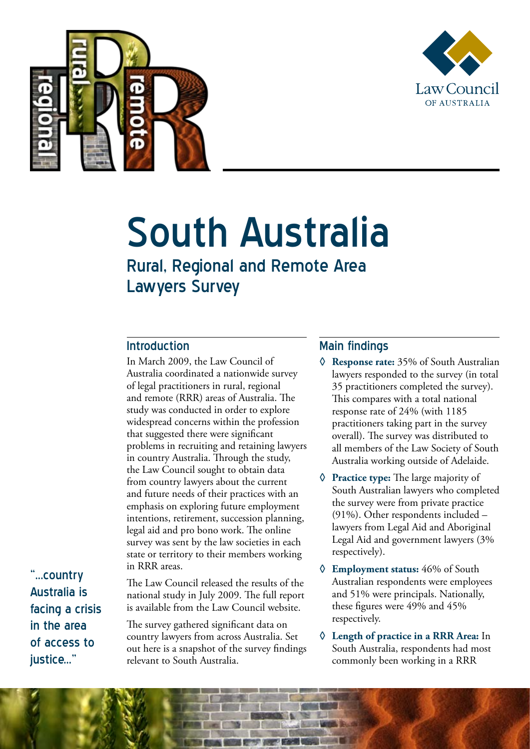



# South Australia

## Rural, Regional and Remote Area Lawyers Survey

#### Introduction

In March 2009, the Law Council of Australia coordinated a nationwide survey of legal practitioners in rural, regional and remote (RRR) areas of Australia. The study was conducted in order to explore widespread concerns within the profession that suggested there were significant problems in recruiting and retaining lawyers in country Australia. Through the study, the Law Council sought to obtain data from country lawyers about the current and future needs of their practices with an emphasis on exploring future employment intentions, retirement, succession planning, legal aid and pro bono work. The online survey was sent by the law societies in each state or territory to their members working in RRR areas.

"...country Australia is facing a crisis in the area of access to iustice..."

The Law Council released the results of the national study in July 2009. The full report is available from the Law Council website.

The survey gathered significant data on country lawyers from across Australia. Set out here is a snapshot of the survey findings relevant to South Australia.

#### Main findings

- **◊ Response rate:** 35% of South Australian lawyers responded to the survey (in total 35 practitioners completed the survey). This compares with a total national response rate of 24% (with 1185 practitioners taking part in the survey overall). The survey was distributed to all members of the Law Society of South Australia working outside of Adelaide.
- **◊ Practice type:** The large majority of South Australian lawyers who completed the survey were from private practice (91%). Other respondents included – lawyers from Legal Aid and Aboriginal Legal Aid and government lawyers (3% respectively).
- **◊ Employment status:** 46% of South Australian respondents were employees and 51% were principals. Nationally, these figures were 49% and 45% respectively.
- **◊ Length of practice in a RRR Area:** In South Australia, respondents had most commonly been working in a RRR